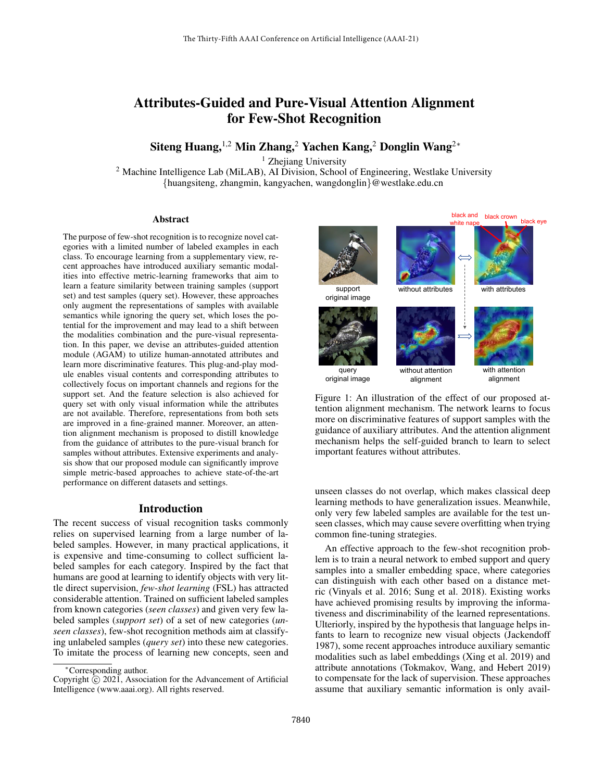# Attributes-Guided and Pure-Visual Attention Alignment for Few-Shot Recognition

Siteng Huang,<sup>1,2</sup> Min Zhang,<sup>2</sup> Yachen Kang,<sup>2</sup> Donglin Wang<sup>2∗</sup>

<sup>1</sup> Zhejiang University

<sup>2</sup> Machine Intelligence Lab (MiLAB), AI Division, School of Engineering, Westlake University {huangsiteng, zhangmin, kangyachen, wangdonglin}@westlake.edu.cn

#### Abstract

The purpose of few-shot recognition is to recognize novel categories with a limited number of labeled examples in each class. To encourage learning from a supplementary view, recent approaches have introduced auxiliary semantic modalities into effective metric-learning frameworks that aim to learn a feature similarity between training samples (support set) and test samples (query set). However, these approaches only augment the representations of samples with available semantics while ignoring the query set, which loses the potential for the improvement and may lead to a shift between the modalities combination and the pure-visual representation. In this paper, we devise an attributes-guided attention module (AGAM) to utilize human-annotated attributes and learn more discriminative features. This plug-and-play module enables visual contents and corresponding attributes to collectively focus on important channels and regions for the support set. And the feature selection is also achieved for query set with only visual information while the attributes are not available. Therefore, representations from both sets are improved in a fine-grained manner. Moreover, an attention alignment mechanism is proposed to distill knowledge from the guidance of attributes to the pure-visual branch for samples without attributes. Extensive experiments and analysis show that our proposed module can significantly improve simple metric-based approaches to achieve state-of-the-art performance on different datasets and settings.

### Introduction

The recent success of visual recognition tasks commonly relies on supervised learning from a large number of labeled samples. However, in many practical applications, it is expensive and time-consuming to collect sufficient labeled samples for each category. Inspired by the fact that humans are good at learning to identify objects with very little direct supervision, *few-shot learning* (FSL) has attracted considerable attention. Trained on sufficient labeled samples from known categories (*seen classes*) and given very few labeled samples (*support set*) of a set of new categories (*unseen classes*), few-shot recognition methods aim at classifying unlabeled samples (*query set*) into these new categories. To imitate the process of learning new concepts, seen and



Figure 1: An illustration of the effect of our proposed attention alignment mechanism. The network learns to focus more on discriminative features of support samples with the guidance of auxiliary attributes. And the attention alignment mechanism helps the self-guided branch to learn to select important features without attributes.

unseen classes do not overlap, which makes classical deep learning methods to have generalization issues. Meanwhile, only very few labeled samples are available for the test unseen classes, which may cause severe overfitting when trying common fine-tuning strategies.

An effective approach to the few-shot recognition problem is to train a neural network to embed support and query samples into a smaller embedding space, where categories can distinguish with each other based on a distance metric (Vinyals et al. 2016; Sung et al. 2018). Existing works have achieved promising results by improving the informativeness and discriminability of the learned representations. Ulteriorly, inspired by the hypothesis that language helps infants to learn to recognize new visual objects (Jackendoff 1987), some recent approaches introduce auxiliary semantic modalities such as label embeddings (Xing et al. 2019) and attribute annotations (Tokmakov, Wang, and Hebert 2019) to compensate for the lack of supervision. These approaches assume that auxiliary semantic information is only avail-

<sup>∗</sup>Corresponding author.

Copyright  $\hat{C}$  2021, Association for the Advancement of Artificial Intelligence (www.aaai.org). All rights reserved.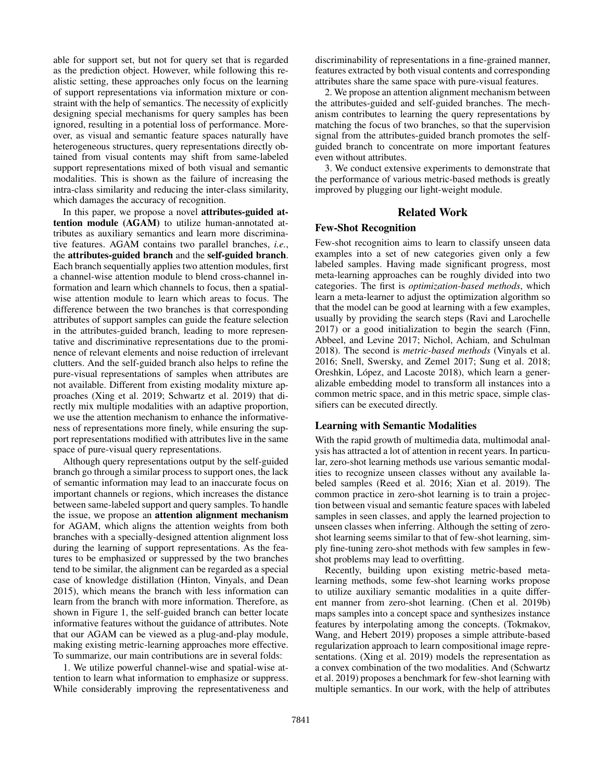able for support set, but not for query set that is regarded as the prediction object. However, while following this realistic setting, these approaches only focus on the learning of support representations via information mixture or constraint with the help of semantics. The necessity of explicitly designing special mechanisms for query samples has been ignored, resulting in a potential loss of performance. Moreover, as visual and semantic feature spaces naturally have heterogeneous structures, query representations directly obtained from visual contents may shift from same-labeled support representations mixed of both visual and semantic modalities. This is shown as the failure of increasing the intra-class similarity and reducing the inter-class similarity, which damages the accuracy of recognition.

In this paper, we propose a novel attributes-guided attention module (AGAM) to utilize human-annotated attributes as auxiliary semantics and learn more discriminative features. AGAM contains two parallel branches, *i.e.*, the attributes-guided branch and the self-guided branch. Each branch sequentially applies two attention modules, first a channel-wise attention module to blend cross-channel information and learn which channels to focus, then a spatialwise attention module to learn which areas to focus. The difference between the two branches is that corresponding attributes of support samples can guide the feature selection in the attributes-guided branch, leading to more representative and discriminative representations due to the prominence of relevant elements and noise reduction of irrelevant clutters. And the self-guided branch also helps to refine the pure-visual representations of samples when attributes are not available. Different from existing modality mixture approaches (Xing et al. 2019; Schwartz et al. 2019) that directly mix multiple modalities with an adaptive proportion, we use the attention mechanism to enhance the informativeness of representations more finely, while ensuring the support representations modified with attributes live in the same space of pure-visual query representations.

Although query representations output by the self-guided branch go through a similar process to support ones, the lack of semantic information may lead to an inaccurate focus on important channels or regions, which increases the distance between same-labeled support and query samples. To handle the issue, we propose an attention alignment mechanism for AGAM, which aligns the attention weights from both branches with a specially-designed attention alignment loss during the learning of support representations. As the features to be emphasized or suppressed by the two branches tend to be similar, the alignment can be regarded as a special case of knowledge distillation (Hinton, Vinyals, and Dean 2015), which means the branch with less information can learn from the branch with more information. Therefore, as shown in Figure 1, the self-guided branch can better locate informative features without the guidance of attributes. Note that our AGAM can be viewed as a plug-and-play module, making existing metric-learning approaches more effective. To summarize, our main contributions are in several folds:

1. We utilize powerful channel-wise and spatial-wise attention to learn what information to emphasize or suppress. While considerably improving the representativeness and

discriminability of representations in a fine-grained manner, features extracted by both visual contents and corresponding attributes share the same space with pure-visual features.

2. We propose an attention alignment mechanism between the attributes-guided and self-guided branches. The mechanism contributes to learning the query representations by matching the focus of two branches, so that the supervision signal from the attributes-guided branch promotes the selfguided branch to concentrate on more important features even without attributes.

3. We conduct extensive experiments to demonstrate that the performance of various metric-based methods is greatly improved by plugging our light-weight module.

# Related Work

# Few-Shot Recognition

Few-shot recognition aims to learn to classify unseen data examples into a set of new categories given only a few labeled samples. Having made significant progress, most meta-learning approaches can be roughly divided into two categories. The first is *optimization-based methods*, which learn a meta-learner to adjust the optimization algorithm so that the model can be good at learning with a few examples, usually by providing the search steps (Ravi and Larochelle 2017) or a good initialization to begin the search (Finn, Abbeel, and Levine 2017; Nichol, Achiam, and Schulman 2018). The second is *metric-based methods* (Vinyals et al. 2016; Snell, Swersky, and Zemel 2017; Sung et al. 2018; Oreshkin, López, and Lacoste 2018), which learn a generalizable embedding model to transform all instances into a common metric space, and in this metric space, simple classifiers can be executed directly.

# Learning with Semantic Modalities

With the rapid growth of multimedia data, multimodal analysis has attracted a lot of attention in recent years. In particular, zero-shot learning methods use various semantic modalities to recognize unseen classes without any available labeled samples (Reed et al. 2016; Xian et al. 2019). The common practice in zero-shot learning is to train a projection between visual and semantic feature spaces with labeled samples in seen classes, and apply the learned projection to unseen classes when inferring. Although the setting of zeroshot learning seems similar to that of few-shot learning, simply fine-tuning zero-shot methods with few samples in fewshot problems may lead to overfitting.

Recently, building upon existing metric-based metalearning methods, some few-shot learning works propose to utilize auxiliary semantic modalities in a quite different manner from zero-shot learning. (Chen et al. 2019b) maps samples into a concept space and synthesizes instance features by interpolating among the concepts. (Tokmakov, Wang, and Hebert 2019) proposes a simple attribute-based regularization approach to learn compositional image representations. (Xing et al. 2019) models the representation as a convex combination of the two modalities. And (Schwartz et al. 2019) proposes a benchmark for few-shot learning with multiple semantics. In our work, with the help of attributes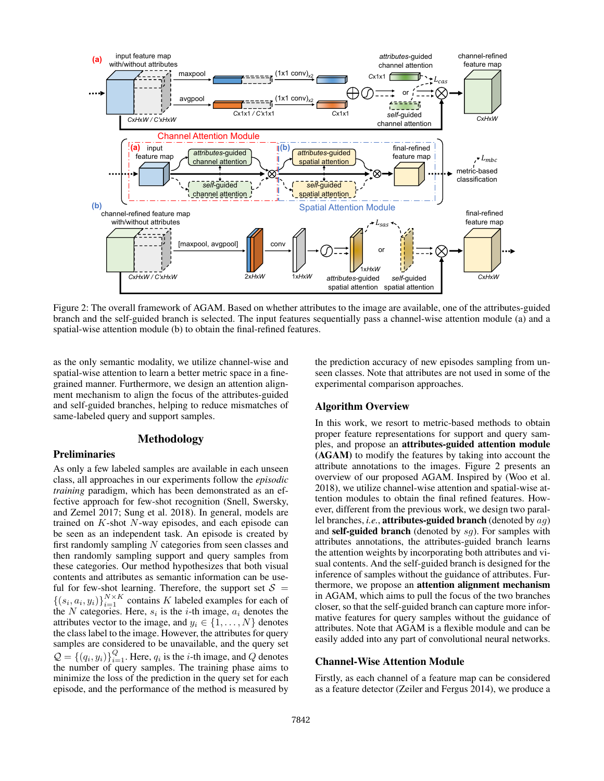

Figure 2: The overall framework of AGAM. Based on whether attributes to the image are available, one of the attributes-guided branch and the self-guided branch is selected. The input features sequentially pass a channel-wise attention module (a) and a spatial-wise attention module (b) to obtain the final-refined features.

as the only semantic modality, we utilize channel-wise and spatial-wise attention to learn a better metric space in a finegrained manner. Furthermore, we design an attention alignment mechanism to align the focus of the attributes-guided and self-guided branches, helping to reduce mismatches of same-labeled query and support samples.

# Methodology

## Preliminaries

As only a few labeled samples are available in each unseen class, all approaches in our experiments follow the *episodic training* paradigm, which has been demonstrated as an effective approach for few-shot recognition (Snell, Swersky, and Zemel 2017; Sung et al. 2018). In general, models are trained on  $K$ -shot  $N$ -way episodes, and each episode can be seen as an independent task. An episode is created by first randomly sampling N categories from seen classes and then randomly sampling support and query samples from these categories. Our method hypothesizes that both visual contents and attributes as semantic information can be useful for few-shot learning. Therefore, the support set  $S =$  $\{(s_i, a_i, y_i)\}_{i=1}^{N \times K}$  contains K labeled examples for each of the N categories. Here,  $s_i$  is the *i*-th image,  $a_i$  denotes the attributes vector to the image, and  $y_i \in \{1, \ldots, N\}$  denotes the class label to the image. However, the attributes for query samples are considered to be unavailable, and the query set  $\mathcal{Q} = \{(q_i, y_i)\}_{i=1}^Q$ . Here,  $q_i$  is the *i*-th image, and *Q* denotes the number of query samples. The training phase aims to minimize the loss of the prediction in the query set for each episode, and the performance of the method is measured by

the prediction accuracy of new episodes sampling from unseen classes. Note that attributes are not used in some of the experimental comparison approaches.

# Algorithm Overview

In this work, we resort to metric-based methods to obtain proper feature representations for support and query samples, and propose an attributes-guided attention module (AGAM) to modify the features by taking into account the attribute annotations to the images. Figure 2 presents an overview of our proposed AGAM. Inspired by (Woo et al. 2018), we utilize channel-wise attention and spatial-wise attention modules to obtain the final refined features. However, different from the previous work, we design two parallel branches, *i.e.*, attributes-guided branch (denoted by ag) and self-guided branch (denoted by  $sg$ ). For samples with attributes annotations, the attributes-guided branch learns the attention weights by incorporating both attributes and visual contents. And the self-guided branch is designed for the inference of samples without the guidance of attributes. Furthermore, we propose an attention alignment mechanism in AGAM, which aims to pull the focus of the two branches closer, so that the self-guided branch can capture more informative features for query samples without the guidance of attributes. Note that AGAM is a flexible module and can be easily added into any part of convolutional neural networks.

#### Channel-Wise Attention Module

Firstly, as each channel of a feature map can be considered as a feature detector (Zeiler and Fergus 2014), we produce a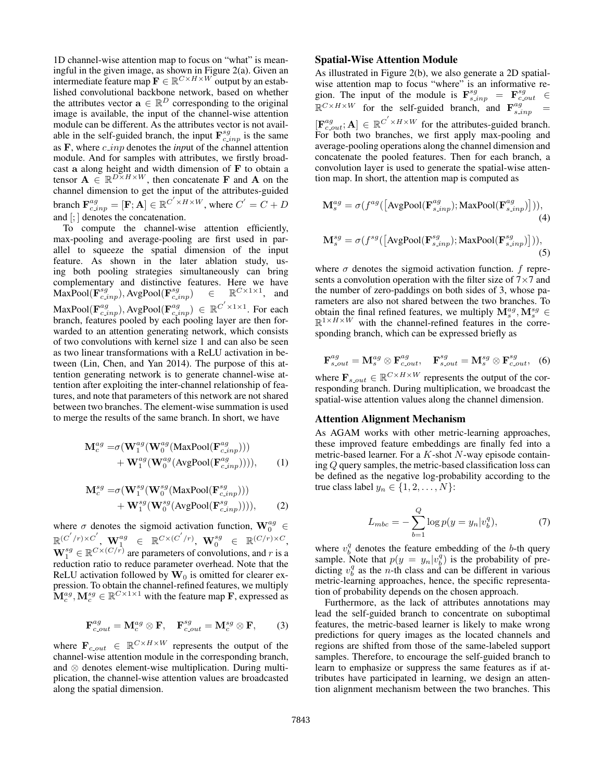1D channel-wise attention map to focus on "what" is meaningful in the given image, as shown in Figure 2(a). Given an intermediate feature map  $\mathbf{F} \in \mathbb{R}^{C \times H \times W}$  output by an established convolutional backbone network, based on whether the attributes vector  $\mathbf{a} \in \mathbb{R}^D$  corresponding to the original image is available, the input of the channel-wise attention module can be different. As the attributes vector is not available in the self-guided branch, the input  $\mathbf{F}_{c.inp}^{sg}$  is the same as F, where c inp denotes the *inp*ut of the *c*hannel attention module. And for samples with attributes, we firstly broadcast a along height and width dimension of  $F$  to obtain a tensor  $\mathbf{A} \in \mathbb{R}^{D \times H \times W}$ , then concatenate **F** and **A** on the channel dimension to get the input of the attributes-guided branch  $\mathbf{F}_{c.\text{inp}}^{ag} = [\mathbf{F}; \mathbf{A}] \in \mathbb{R}^{C' \times H \times W}$ , where  $C' = C + D$ and [; ] denotes the concatenation.

To compute the channel-wise attention efficiently, max-pooling and average-pooling are first used in parallel to squeeze the spatial dimension of the input feature. As shown in the later ablation study, using both pooling strategies simultaneously can bring complementary and distinctive features. Here we have  $\text{MaxPool}(\mathbf{F}_{c.\text{inp}}^{sg}), \text{AvgPool}(\mathbf{F}_{c.\text{inp}}^{sg}) \quad \in \quad \mathbb{R}^{C \times 1 \times 1}$ , and MaxPool( $\mathbf{F}_{c.inp}^{ag}$ ), AvgPool( $\mathbf{F}_{c.inp}^{ag}$ )  $\in \mathbb{R}^{C' \times 1 \times 1}$ . For each branch, features pooled by each pooling layer are then forwarded to an attention generating network, which consists of two convolutions with kernel size 1 and can also be seen as two linear transformations with a ReLU activation in between (Lin, Chen, and Yan 2014). The purpose of this attention generating network is to generate channel-wise attention after exploiting the inter-channel relationship of features, and note that parameters of this network are not shared between two branches. The element-wise summation is used to merge the results of the same branch. In short, we have

$$
\mathbf{M}_{c}^{ag} = \sigma(\mathbf{W}_{1}^{ag}(\mathbf{W}_{0}^{ag}(\text{MaxPool}(\mathbf{F}_{c.\text{inp}}^{ag})))+ \mathbf{W}_{1}^{ag}(\mathbf{W}_{0}^{ag}(\text{AvgPool}(\mathbf{F}_{c.\text{inp}}^{ag}))))
$$
, (1)

$$
\mathbf{M}_{c}^{sg} = \sigma(\mathbf{W}_{1}^{sg}(\mathbf{W}_{0}^{sg}(\text{MaxPool}(\mathbf{F}_{c,inp}^{sg})))+ \mathbf{W}_{1}^{sg}(\mathbf{W}_{0}^{sg}(\text{AvgPool}(\mathbf{F}_{c,inp}^{sg}))))
$$
, (2)

where  $\sigma$  denotes the sigmoid activation function,  $\mathbf{W}_0^{ag} \in$  $\mathbb{R}^{(C'/r)\times C'}, \ \mathbf{W}^{ag}_1 \in \ \mathbb{R}^{C\times (C'/r)}, \ \mathbf{W}^{sg}_0 \ \in \ \mathbb{R}^{(C/r)\times C},$  $\mathbf{W}_1^{sg} \in \mathbb{R}^{C \times (C/r)}$  are parameters of convolutions, and r is a reduction ratio to reduce parameter overhead. Note that the ReLU activation followed by  $W_0$  is omitted for clearer expression. To obtain the channel-refined features, we multiply  $\mathbf{M}_c^{ag}, \mathbf{M}_c^{sg} \in \mathbb{R}^{C \times 1 \times 1}$  with the feature map **F**, expressed as

$$
\mathbf{F}_{c,out}^{ag} = \mathbf{M}_{c}^{ag} \otimes \mathbf{F}, \quad \mathbf{F}_{c,out}^{sg} = \mathbf{M}_{c}^{sg} \otimes \mathbf{F}, \quad (3)
$$

where  $\mathbf{F}_{c,out} \in \mathbb{R}^{C \times H \times W}$  represents the output of the channel-wise attention module in the corresponding branch, and ⊗ denotes element-wise multiplication. During multiplication, the channel-wise attention values are broadcasted along the spatial dimension.

### Spatial-Wise Attention Module

As illustrated in Figure 2(b), we also generate a 2D spatialwise attention map to focus "where" is an informative region. The input of the module is  $\mathbf{F}^{sg}_{s.inp} = \mathbf{F}^{sg}_{c.out} \in$  $\mathbb{R}^{C \times H \times W}$  for the self-guided branch, and  $\mathbf{F}^{ag}_{s, inp}$  =  $[\mathbf{F}_{c,out}^{ag};\mathbf{A}] \in \mathbb{R}^{C^{'} \times H \times W}$  for the attributes-guided branch. For both two branches, we first apply max-pooling and average-pooling operations along the channel dimension and concatenate the pooled features. Then for each branch, a convolution layer is used to generate the spatial-wise attention map. In short, the attention map is computed as

$$
\mathbf{M}_{s}^{ag} = \sigma(f^{ag}([\text{AvgPool}(\mathbf{F}_{s,inp}^{ag}); \text{MaxPool}(\mathbf{F}_{s,inp}^{ag})])),
$$
\n(4)

$$
\mathbf{M}_{s}^{sg} = \sigma(f^{sg}(\left[\text{AvgPool}(\mathbf{F}_{s,inp}^{sg}); \text{MaxPool}(\mathbf{F}_{s,inp}^{sg})\right))),\tag{5}
$$

where  $\sigma$  denotes the sigmoid activation function. f represents a convolution operation with the filter size of  $7\times7$  and the number of zero-paddings on both sides of 3, whose parameters are also not shared between the two branches. To obtain the final refined features, we multiply  $\mathbf{M}_s^{ag}, \mathbf{M}_s^{sg} \in \mathbb{R}$  $\mathbb{R}^{1 \times H \times W}$  with the channel-refined features in the corresponding branch, which can be expressed briefly as

$$
\mathbf{F}_{s,out}^{ag} = \mathbf{M}_s^{ag} \otimes \mathbf{F}_{c,out}^{ag}, \quad \mathbf{F}_{s,out}^{sg} = \mathbf{M}_s^{sg} \otimes \mathbf{F}_{c,out}^{sg}, \quad (6)
$$

where  $\mathbf{F}_{s,out} \in \mathbb{R}^{C \times H \times W}$  represents the output of the corresponding branch. During multiplication, we broadcast the spatial-wise attention values along the channel dimension.

#### Attention Alignment Mechanism

As AGAM works with other metric-learning approaches, these improved feature embeddings are finally fed into a metric-based learner. For a  $K$ -shot  $N$ -way episode containing Q query samples, the metric-based classification loss can be defined as the negative log-probability according to the true class label  $y_n \in \{1, 2, ..., N\}$ :

$$
L_{mbc} = -\sum_{b=1}^{Q} \log p(y = y_n | v_b^q), \tag{7}
$$

where  $v_b^q$  denotes the feature embedding of the b-th query sample. Note that  $p(y = y_n | v_i^q)$  is the probability of predicting  $v_b^q$  as the n-th class and can be different in various metric-learning approaches, hence, the specific representation of probability depends on the chosen approach.

Furthermore, as the lack of attributes annotations may lead the self-guided branch to concentrate on suboptimal features, the metric-based learner is likely to make wrong predictions for query images as the located channels and regions are shifted from those of the same-labeled support samples. Therefore, to encourage the self-guided branch to learn to emphasize or suppress the same features as if attributes have participated in learning, we design an attention alignment mechanism between the two branches. This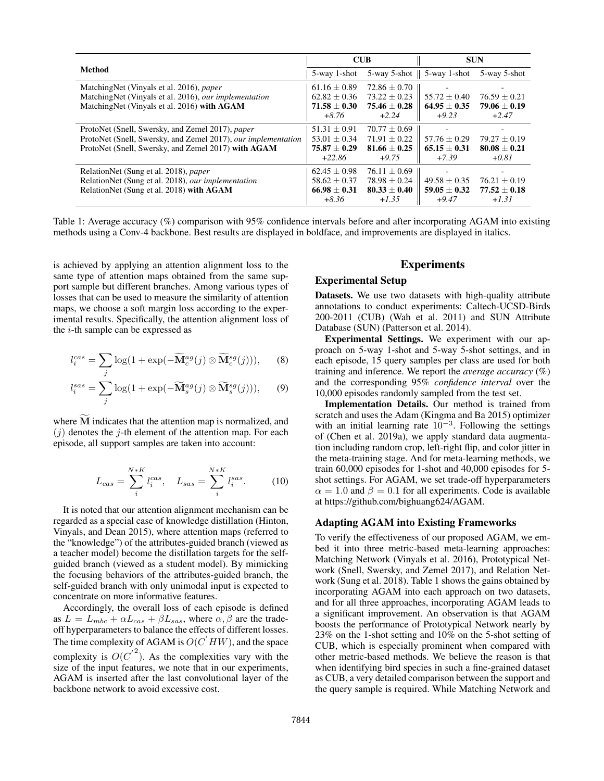|                                                               | <b>CUB</b>       |                | <b>SUN</b>                               |                |
|---------------------------------------------------------------|------------------|----------------|------------------------------------------|----------------|
| Method                                                        | 5-way 1-shot     |                | $5$ -way 5-shot $\parallel$ 5-way 1-shot | 5-way 5-shot   |
| MatchingNet (Vinyals et al. 2016), <i>paper</i>               | $61.16 \pm 0.89$ | $72.86 + 0.70$ |                                          |                |
| MatchingNet (Vinyals et al. 2016), our implementation         | $62.82 + 0.36$   | $73.22 + 0.23$ | $55.72 + 0.40$                           | $76.59 + 0.21$ |
| MatchingNet (Vinyals et al. 2016) with AGAM                   | $71.58 \pm 0.30$ | $75.46 + 0.28$ | $64.95 + 0.35$                           | $79.06 + 0.19$ |
|                                                               | $+8.76$          | $+2.24$        | $+9.23$                                  | $+2.47$        |
| ProtoNet (Snell, Swersky, and Zemel 2017), paper              | $51.31 \pm 0.91$ | $70.77 + 0.69$ |                                          |                |
| ProtoNet (Snell, Swersky, and Zemel 2017), our implementation | $53.01 \pm 0.34$ | $71.91 + 0.22$ | $57.76 + 0.29$                           | $79.27 + 0.19$ |
| ProtoNet (Snell, Swersky, and Zemel 2017) with AGAM           | $75.87 + 0.29$   | $81.66 + 0.25$ | $65.15 + 0.31$                           | $80.08 + 0.21$ |
|                                                               | $+22.86$         | $+9.75$        | $+7.39$                                  | $+0.81$        |
| RelationNet (Sung et al. 2018), paper                         | $62.45 + 0.98$   | $76.11 + 0.69$ |                                          |                |
| RelationNet (Sung et al. 2018), our implementation            | $58.62 \pm 0.37$ | $78.98 + 0.24$ | $49.58 + 0.35$                           | $76.21 + 0.19$ |
| RelationNet (Sung et al. 2018) with AGAM                      | $66.98 + 0.31$   | $80.33 + 0.40$ | $59.05 \pm 0.32$                         | $77.52 + 0.18$ |
|                                                               | $+8.36$          | $+1.35$        | $+9.47$                                  | $+1.31$        |

Table 1: Average accuracy (%) comparison with 95% confidence intervals before and after incorporating AGAM into existing methods using a Conv-4 backbone. Best results are displayed in boldface, and improvements are displayed in italics.

is achieved by applying an attention alignment loss to the same type of attention maps obtained from the same support sample but different branches. Among various types of losses that can be used to measure the similarity of attention maps, we choose a soft margin loss according to the experimental results. Specifically, the attention alignment loss of the  $i$ -th sample can be expressed as

$$
l_i^{cas} = \sum_j \log(1 + \exp(-\widetilde{\mathbf{M}}_c^{ag}(j) \otimes \widetilde{\mathbf{M}}_c^{sg}(j))), \qquad (8)
$$

$$
l_i^{sas} = \sum_j \log(1 + \exp(-\widetilde{\mathbf{M}}_s^{ag}(j) \otimes \widetilde{\mathbf{M}}_s^{sg}(j))), \qquad (9)
$$

where  $M$  indicates that the attention map is normalized, and  $(j)$  denotes the j-th element of the attention map. For each episode, all support samples are taken into account:

$$
L_{cas} = \sum_{i}^{N*K} l_i^{cas}, \quad L_{sas} = \sum_{i}^{N*K} l_i^{sas}.
$$
 (10)

It is noted that our attention alignment mechanism can be regarded as a special case of knowledge distillation (Hinton, Vinyals, and Dean 2015), where attention maps (referred to the "knowledge") of the attributes-guided branch (viewed as a teacher model) become the distillation targets for the selfguided branch (viewed as a student model). By mimicking the focusing behaviors of the attributes-guided branch, the self-guided branch with only unimodal input is expected to concentrate on more informative features.

Accordingly, the overall loss of each episode is defined as  $L = L_{mbc} + \alpha L_{cas} + \beta L_{sas}$ , where  $\alpha, \beta$  are the tradeoff hyperparameters to balance the effects of different losses. The time complexity of AGAM is  $O(C'HW)$ , and the space complexity is  $O({C'}^2)$ . As the complexities vary with the size of the input features, we note that in our experiments, AGAM is inserted after the last convolutional layer of the backbone network to avoid excessive cost.

# Experiments

### Experimental Setup

Datasets. We use two datasets with high-quality attribute annotations to conduct experiments: Caltech-UCSD-Birds 200-2011 (CUB) (Wah et al. 2011) and SUN Attribute Database (SUN) (Patterson et al. 2014).

Experimental Settings. We experiment with our approach on 5-way 1-shot and 5-way 5-shot settings, and in each episode, 15 query samples per class are used for both training and inference. We report the *average accuracy* (%) and the corresponding 95% *confidence interval* over the 10,000 episodes randomly sampled from the test set.

Implementation Details. Our method is trained from scratch and uses the Adam (Kingma and Ba 2015) optimizer with an initial learning rate  $10^{-3}$ . Following the settings of (Chen et al. 2019a), we apply standard data augmentation including random crop, left-right flip, and color jitter in the meta-training stage. And for meta-learning methods, we train 60,000 episodes for 1-shot and 40,000 episodes for 5 shot settings. For AGAM, we set trade-off hyperparameters  $\alpha = 1.0$  and  $\beta = 0.1$  for all experiments. Code is available at https://github.com/bighuang624/AGAM.

### Adapting AGAM into Existing Frameworks

To verify the effectiveness of our proposed AGAM, we embed it into three metric-based meta-learning approaches: Matching Network (Vinyals et al. 2016), Prototypical Network (Snell, Swersky, and Zemel 2017), and Relation Network (Sung et al. 2018). Table 1 shows the gains obtained by incorporating AGAM into each approach on two datasets, and for all three approaches, incorporating AGAM leads to a significant improvement. An observation is that AGAM boosts the performance of Prototypical Network nearly by 23% on the 1-shot setting and 10% on the 5-shot setting of CUB, which is especially prominent when compared with other metric-based methods. We believe the reason is that when identifying bird species in such a fine-grained dataset as CUB, a very detailed comparison between the support and the query sample is required. While Matching Network and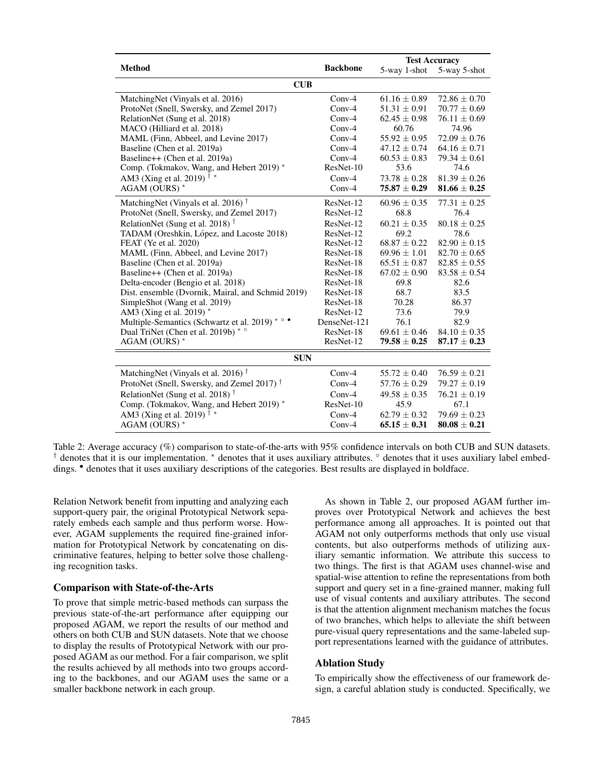|                                                        |                 | <b>Test Accuracy</b> |                  |  |  |  |  |
|--------------------------------------------------------|-----------------|----------------------|------------------|--|--|--|--|
| <b>Method</b>                                          | <b>Backbone</b> | 5-way 1-shot         | 5-way 5-shot     |  |  |  |  |
| CUB                                                    |                 |                      |                  |  |  |  |  |
| MatchingNet (Vinyals et al. 2016)                      | $Conv-4$        | $61.16 \pm 0.89$     | $72.86 \pm 0.70$ |  |  |  |  |
| ProtoNet (Snell, Swersky, and Zemel 2017)              | $Conv-4$        | $51.31 \pm 0.91$     | $70.77 \pm 0.69$ |  |  |  |  |
| RelationNet (Sung et al. 2018)                         | $Conv-4$        | $62.45 \pm 0.98$     | $76.11 \pm 0.69$ |  |  |  |  |
| MACO (Hilliard et al. 2018)                            | $Conv-4$        | 60.76                | 74.96            |  |  |  |  |
| MAML (Finn, Abbeel, and Levine 2017)                   | $Conv-4$        | $55.92 \pm 0.95$     | $72.09 \pm 0.76$ |  |  |  |  |
| Baseline (Chen et al. 2019a)                           | $Conv-4$        | $47.12 \pm 0.74$     | $64.16 \pm 0.71$ |  |  |  |  |
| Baseline++ (Chen et al. 2019a)                         | $Conv-4$        | $60.53 \pm 0.83$     | $79.34 \pm 0.61$ |  |  |  |  |
| Comp. (Tokmakov, Wang, and Hebert 2019) *              | ResNet-10       | 53.6                 | 74.6             |  |  |  |  |
| AM3 (Xing et al. 2019) <sup>†</sup> *                  | $Conv-4$        | $73.78 \pm 0.28$     | $81.39 + 0.26$   |  |  |  |  |
| AGAM (OURS)*                                           | $Conv-4$        | $75.87 + 0.29$       | $81.66 + 0.25$   |  |  |  |  |
| MatchingNet (Vinyals et al. 2016) <sup>†</sup>         | ResNet-12       | $60.96 \pm 0.35$     | $77.31 \pm 0.25$ |  |  |  |  |
| ProtoNet (Snell, Swersky, and Zemel 2017)              | ResNet-12       | 68.8                 | 76.4             |  |  |  |  |
| RelationNet (Sung et al. 2018) <sup>†</sup>            | ResNet-12       | $60.21 \pm 0.35$     | $80.18 \pm 0.25$ |  |  |  |  |
| TADAM (Oreshkin, López, and Lacoste 2018)              | ResNet-12       | 69.2                 | 78.6             |  |  |  |  |
| FEAT (Ye et al. 2020)                                  | ResNet-12       | $68.87 \pm 0.22$     | $82.90 \pm 0.15$ |  |  |  |  |
| MAML (Finn, Abbeel, and Levine 2017)                   | ResNet-18       | $69.96 \pm 1.01$     | $82.70 \pm 0.65$ |  |  |  |  |
| Baseline (Chen et al. 2019a)                           | ResNet-18       | $65.51 \pm 0.87$     | $82.85 \pm 0.55$ |  |  |  |  |
| Baseline++ (Chen et al. 2019a)                         | ResNet-18       | $67.02 \pm 0.90$     | $83.58 \pm 0.54$ |  |  |  |  |
| Delta-encoder (Bengio et al. 2018)                     | ResNet-18       | 69.8                 | 82.6             |  |  |  |  |
| Dist. ensemble (Dvornik, Mairal, and Schmid 2019)      | ResNet-18       | 68.7                 | 83.5             |  |  |  |  |
| SimpleShot (Wang et al. 2019)                          | ResNet-18       | 70.28                | 86.37            |  |  |  |  |
| AM3 (Xing et al. 2019) *                               | ResNet-12       | 73.6                 | 79.9             |  |  |  |  |
| Multiple-Semantics (Schwartz et al. 2019) * ° ·        | DenseNet-121    | 76.1                 | 82.9             |  |  |  |  |
| Dual TriNet (Chen et al. 2019b) * °                    | ResNet-18       | $69.61 \pm 0.46$     | $84.10 \pm 0.35$ |  |  |  |  |
| AGAM (OURS) *                                          | ResNet-12       | $79.58 \pm 0.25$     | $87.17 \pm 0.23$ |  |  |  |  |
| <b>SUN</b>                                             |                 |                      |                  |  |  |  |  |
| MatchingNet (Vinyals et al. 2016) <sup>†</sup>         | $Conv-4$        | $55.72 \pm 0.40$     | $76.59 \pm 0.21$ |  |  |  |  |
| ProtoNet (Snell, Swersky, and Zemel 2017) <sup>†</sup> | $Conv-4$        | $57.76 \pm 0.29$     | $79.27 \pm 0.19$ |  |  |  |  |
| RelationNet (Sung et al. 2018) <sup>†</sup>            | $Conv-4$        | $49.58 \pm 0.35$     | $76.21 \pm 0.19$ |  |  |  |  |
| Comp. (Tokmakov, Wang, and Hebert 2019) *              | ResNet-10       | 45.9                 | 67.1             |  |  |  |  |
| AM3 (Xing et al. 2019) <sup>†</sup> *                  | $Conv-4$        | $62.79 \pm 0.32$     | $79.69 \pm 0.23$ |  |  |  |  |
| AGAM (OURS) *                                          | $Conv-4$        | $65.15 \pm 0.31$     | $80.08 \pm 0.21$ |  |  |  |  |

Table 2: Average accuracy (%) comparison to state-of-the-arts with 95% confidence intervals on both CUB and SUN datasets. † denotes that it is our implementation. <sup>∗</sup> denotes that it uses auxiliary attributes. ◦ denotes that it uses auxiliary label embeddings. • denotes that it uses auxiliary descriptions of the categories. Best results are displayed in boldface.

Relation Network benefit from inputting and analyzing each support-query pair, the original Prototypical Network separately embeds each sample and thus perform worse. However, AGAM supplements the required fine-grained information for Prototypical Network by concatenating on discriminative features, helping to better solve those challenging recognition tasks.

### Comparison with State-of-the-Arts

To prove that simple metric-based methods can surpass the previous state-of-the-art performance after equipping our proposed AGAM, we report the results of our method and others on both CUB and SUN datasets. Note that we choose to display the results of Prototypical Network with our proposed AGAM as our method. For a fair comparison, we split the results achieved by all methods into two groups according to the backbones, and our AGAM uses the same or a smaller backbone network in each group.

As shown in Table 2, our proposed AGAM further improves over Prototypical Network and achieves the best performance among all approaches. It is pointed out that AGAM not only outperforms methods that only use visual contents, but also outperforms methods of utilizing auxiliary semantic information. We attribute this success to two things. The first is that AGAM uses channel-wise and spatial-wise attention to refine the representations from both support and query set in a fine-grained manner, making full use of visual contents and auxiliary attributes. The second is that the attention alignment mechanism matches the focus of two branches, which helps to alleviate the shift between pure-visual query representations and the same-labeled support representations learned with the guidance of attributes.

### Ablation Study

To empirically show the effectiveness of our framework design, a careful ablation study is conducted. Specifically, we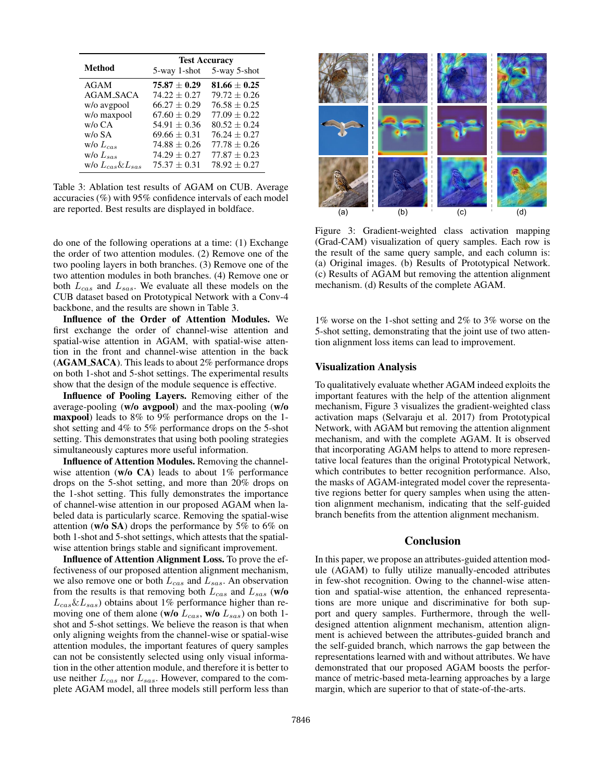|                          | <b>Test Accuracy</b> |                           |  |
|--------------------------|----------------------|---------------------------|--|
| <b>Method</b>            |                      | 5-way 1-shot 5-way 5-shot |  |
| AGAM                     | $75.87 \pm 0.29$     | $81.66 \pm 0.25$          |  |
| <b>AGAM_SACA</b>         | $74.22 + 0.27$       | $79.72 \pm 0.26$          |  |
| w/o avgpool              | $66.27 + 0.29$       | $76.58 + 0.25$            |  |
| w/o maxpool              | $67.60 + 0.29$       | $77.09 \pm 0.22$          |  |
| $w$ /o CA                | $54.91 + 0.36$       | $80.52 + 0.24$            |  |
| w/o SA                   | $69.66 \pm 0.31$     | $76.24 + 0.27$            |  |
| w/o $L_{cas}$            | $74.88 + 0.26$       | $77.78 + 0.26$            |  |
| w/o $L_{sas}$            | $74.29 + 0.27$       | $77.87 \pm 0.23$          |  |
| w/o $L_{cas} \& L_{sas}$ | $75.37 + 0.31$       | $78.92 \pm 0.27$          |  |

Table 3: Ablation test results of AGAM on CUB. Average accuracies (%) with 95% confidence intervals of each model are reported. Best results are displayed in boldface.

do one of the following operations at a time: (1) Exchange the order of two attention modules. (2) Remove one of the two pooling layers in both branches. (3) Remove one of the two attention modules in both branches. (4) Remove one or both  $L_{cas}$  and  $L_{sas}$ . We evaluate all these models on the CUB dataset based on Prototypical Network with a Conv-4 backbone, and the results are shown in Table 3.

Influence of the Order of Attention Modules. We first exchange the order of channel-wise attention and spatial-wise attention in AGAM, with spatial-wise attention in the front and channel-wise attention in the back (AGAM SACA). This leads to about 2% performance drops on both 1-shot and 5-shot settings. The experimental results show that the design of the module sequence is effective.

Influence of Pooling Layers. Removing either of the average-pooling (w/o avgpool) and the max-pooling (w/o maxpool) leads to 8% to 9% performance drops on the 1 shot setting and 4% to 5% performance drops on the 5-shot setting. This demonstrates that using both pooling strategies simultaneously captures more useful information.

Influence of Attention Modules. Removing the channelwise attention ( $w/o$  CA) leads to about 1% performance drops on the 5-shot setting, and more than 20% drops on the 1-shot setting. This fully demonstrates the importance of channel-wise attention in our proposed AGAM when labeled data is particularly scarce. Removing the spatial-wise attention (w/o SA) drops the performance by 5% to 6% on both 1-shot and 5-shot settings, which attests that the spatialwise attention brings stable and significant improvement.

Influence of Attention Alignment Loss. To prove the effectiveness of our proposed attention alignment mechanism, we also remove one or both  $L_{cas}$  and  $L_{sas}$ . An observation from the results is that removing both  $L_{cas}$  and  $L_{sas}$  (w/o  $L_{cas} \& L_{sas}$ ) obtains about 1% performance higher than removing one of them alone (w/o  $L_{cas}$ , w/o  $L_{sas}$ ) on both 1shot and 5-shot settings. We believe the reason is that when only aligning weights from the channel-wise or spatial-wise attention modules, the important features of query samples can not be consistently selected using only visual information in the other attention module, and therefore it is better to use neither  $L_{cas}$  nor  $L_{sas}$ . However, compared to the complete AGAM model, all three models still perform less than



Figure 3: Gradient-weighted class activation mapping (Grad-CAM) visualization of query samples. Each row is the result of the same query sample, and each column is: (a) Original images. (b) Results of Prototypical Network. (c) Results of AGAM but removing the attention alignment mechanism. (d) Results of the complete AGAM.

1% worse on the 1-shot setting and 2% to 3% worse on the 5-shot setting, demonstrating that the joint use of two attention alignment loss items can lead to improvement.

#### Visualization Analysis

To qualitatively evaluate whether AGAM indeed exploits the important features with the help of the attention alignment mechanism, Figure 3 visualizes the gradient-weighted class activation maps (Selvaraju et al. 2017) from Prototypical Network, with AGAM but removing the attention alignment mechanism, and with the complete AGAM. It is observed that incorporating AGAM helps to attend to more representative local features than the original Prototypical Network, which contributes to better recognition performance. Also, the masks of AGAM-integrated model cover the representative regions better for query samples when using the attention alignment mechanism, indicating that the self-guided branch benefits from the attention alignment mechanism.

## Conclusion

In this paper, we propose an attributes-guided attention module (AGAM) to fully utilize manually-encoded attributes in few-shot recognition. Owing to the channel-wise attention and spatial-wise attention, the enhanced representations are more unique and discriminative for both support and query samples. Furthermore, through the welldesigned attention alignment mechanism, attention alignment is achieved between the attributes-guided branch and the self-guided branch, which narrows the gap between the representations learned with and without attributes. We have demonstrated that our proposed AGAM boosts the performance of metric-based meta-learning approaches by a large margin, which are superior to that of state-of-the-arts.